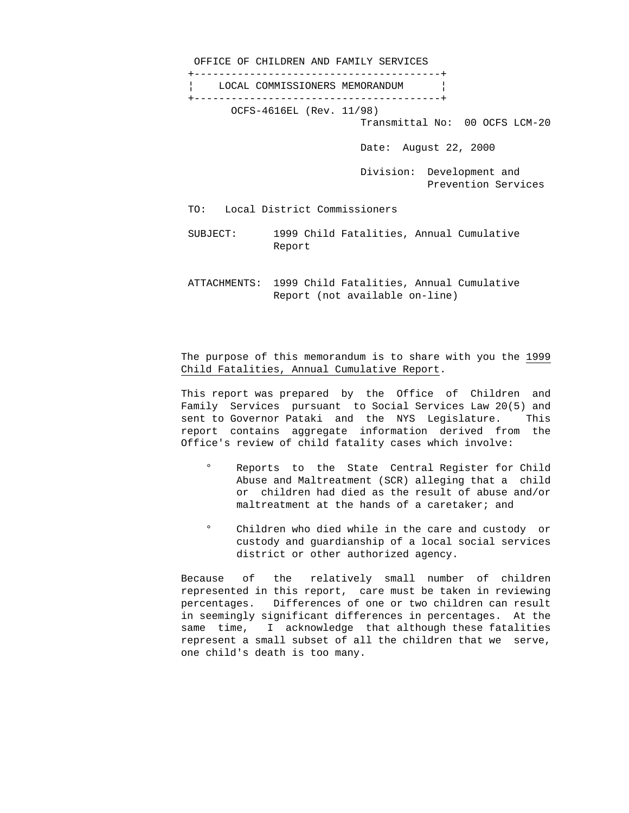OFFICE OF CHILDREN AND FAMILY SERVICES +----------------------------------------+ ¦ LOCAL COMMISSIONERS MEMORANDUM ¦ +----------------------------------------+ OCFS-4616EL (Rev. 11/98) Transmittal No: 00 OCFS LCM-20 Date: August 22, 2000 Division: Development and Prevention Services

- TO: Local District Commissioners
- SUBJECT: 1999 Child Fatalities, Annual Cumulative Report
- ATTACHMENTS: 1999 Child Fatalities, Annual Cumulative Report (not available on-line)

## The purpose of this memorandum is to share with you the 1999 Child Fatalities, Annual Cumulative Report.

This report was prepared by the Office of Children and Family Services pursuant to Social Services Law 20(5) and sent to Governor Pataki and the NYS Legislature. This report contains aggregate information derived from the Office's review of child fatality cases which involve:

- ° Reports to the State Central Register for Child Abuse and Maltreatment (SCR) alleging that a child or children had died as the result of abuse and/or maltreatment at the hands of a caretaker; and
- ° Children who died while in the care and custody or custody and guardianship of a local social services district or other authorized agency.

Because of the relatively small number of children represented in this report, care must be taken in reviewing percentages. Differences of one or two children can result in seemingly significant differences in percentages. At the same time, I acknowledge that although these fatalities represent a small subset of all the children that we serve, one child's death is too many.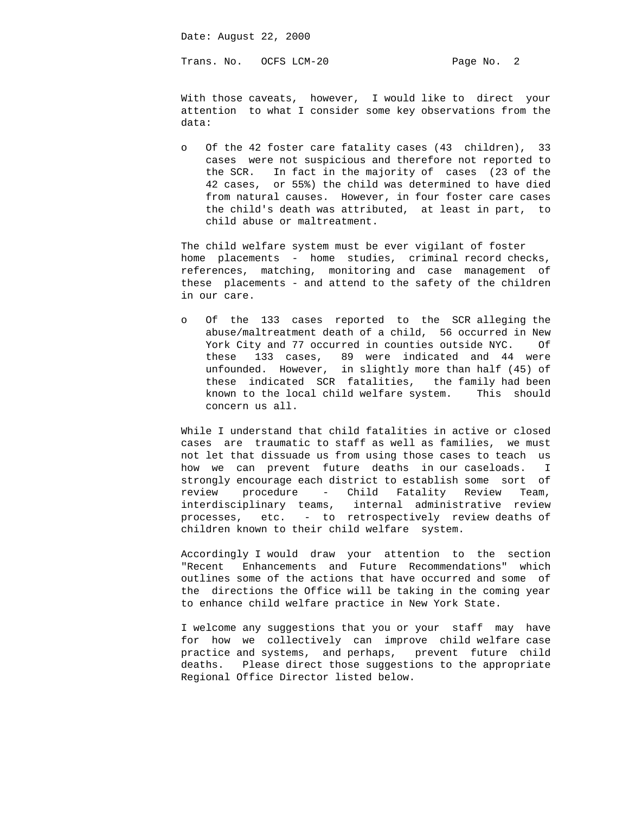Date: August 22, 2000

Trans. No. 0CFS LCM-20 Page No. 2

With those caveats, however, I would like to direct your attention to what I consider some key observations from the data:

o Of the 42 foster care fatality cases (43 children), 33 cases were not suspicious and therefore not reported to the SCR. In fact in the majority of cases (23 of the 42 cases, or 55%) the child was determined to have died from natural causes. However, in four foster care cases the child's death was attributed, at least in part, to child abuse or maltreatment.

The child welfare system must be ever vigilant of foster home placements - home studies, criminal record checks, references, matching, monitoring and case management of these placements - and attend to the safety of the children in our care.

o Of the 133 cases reported to the SCR alleging the abuse/maltreatment death of a child, 56 occurred in New York City and 77 occurred in counties outside NYC. Of these 133 cases, 89 were indicated and 44 were unfounded. However, in slightly more than half (45) of these indicated SCR fatalities, the family had been known to the local child welfare system. This should concern us all.

While I understand that child fatalities in active or closed cases are traumatic to staff as well as families, we must not let that dissuade us from using those cases to teach us how we can prevent future deaths in our caseloads. I strongly encourage each district to establish some sort of review procedure - Child Fatality Review Team, interdisciplinary teams, internal administrative review processes, etc. - to retrospectively review deaths of children known to their child welfare system.

Accordingly I would draw your attention to the section "Recent Enhancements and Future Recommendations" which outlines some of the actions that have occurred and some of the directions the Office will be taking in the coming year to enhance child welfare practice in New York State.

I welcome any suggestions that you or your staff may have for how we collectively can improve child welfare case practice and systems, and perhaps, prevent future child deaths. Please direct those suggestions to the appropriate Regional Office Director listed below.